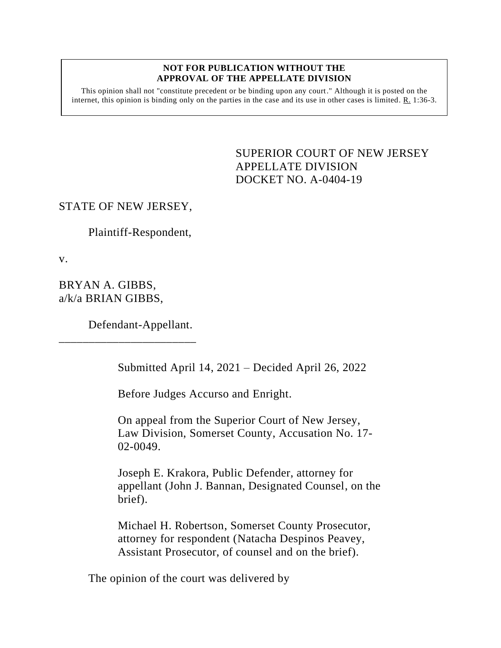## **NOT FOR PUBLICATION WITHOUT THE APPROVAL OF THE APPELLATE DIVISION**

This opinion shall not "constitute precedent or be binding upon any court." Although it is posted on the internet, this opinion is binding only on the parties in the case and its use in other cases is limited.  $R_1$  1:36-3.

> <span id="page-0-0"></span>SUPERIOR COURT OF NEW JERSEY APPELLATE DIVISION DOCKET NO. A-0404-19

## STATE OF NEW JERSEY,

Plaintiff-Respondent,

v.

BRYAN A. GIBBS, a/k/a BRIAN GIBBS,

Defendant-Appellant.

\_\_\_\_\_\_\_\_\_\_\_\_\_\_\_\_\_\_\_\_\_\_\_

Submitted April 14, 2021 – Decided April 26, 2022

Before Judges Accurso and Enright.

On appeal from the Superior Court of New Jersey, Law Division, Somerset County, Accusation No. 17- 02-0049.

Joseph E. Krakora, Public Defender, attorney for appellant (John J. Bannan, Designated Counsel, on the brief).

Michael H. Robertson, Somerset County Prosecutor, attorney for respondent (Natacha Despinos Peavey, Assistant Prosecutor, of counsel and on the brief).

The opinion of the court was delivered by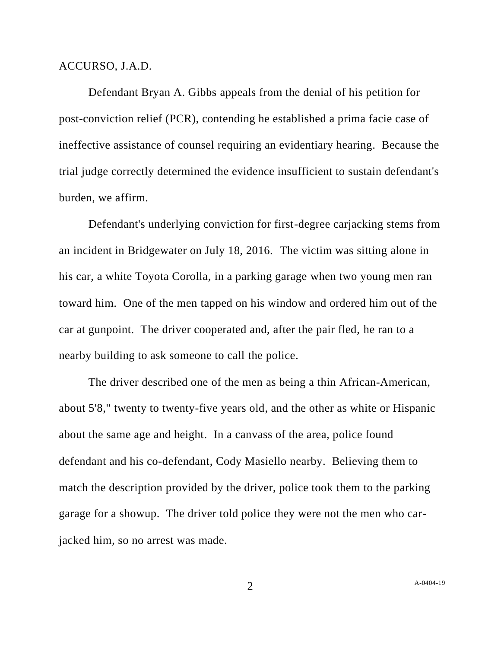## ACCURSO, J.A.D.

Defendant Bryan A. Gibbs appeals from the denial of his petition for post-conviction relief (PCR), contending he established a prima facie case of ineffective assistance of counsel requiring an evidentiary hearing. Because the trial judge correctly determined the evidence insufficient to sustain defendant's burden, we affirm.

Defendant's underlying conviction for first-degree carjacking stems from an incident in Bridgewater on July 18, 2016. The victim was sitting alone in his car, a white Toyota Corolla, in a parking garage when two young men ran toward him. One of the men tapped on his window and ordered him out of the car at gunpoint. The driver cooperated and, after the pair fled, he ran to a nearby building to ask someone to call the police.

The driver described one of the men as being a thin African-American, about 5'8," twenty to twenty-five years old, and the other as white or Hispanic about the same age and height. In a canvass of the area, police found defendant and his co-defendant, Cody Masiello nearby. Believing them to match the description provided by the driver, police took them to the parking garage for a showup. The driver told police they were not the men who carjacked him, so no arrest was made.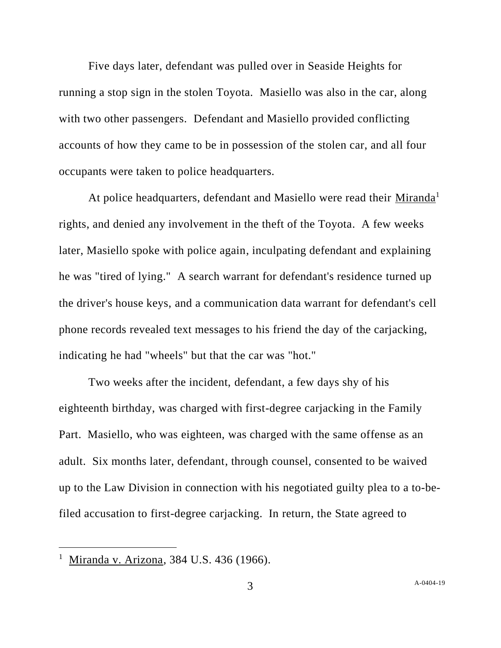Five days later, defendant was pulled over in Seaside Heights for running a stop sign in the stolen Toyota. Masiello was also in the car, along with two other passengers. Defendant and Masiello provided conflicting accounts of how they came to be in possession of the stolen car, and all four occupants were taken to police headquarters.

At police headquarters, defendant and Masiello were read their Miranda<sup>1</sup> rights, and denied any involvement in the theft of the Toyota.A few weeks later, Masiello spoke with police again, inculpating defendant and explaining he was "tired of lying." A search warrant for defendant's residence turned up the driver's house keys, and a communication data warrant for defendant's cell phone records revealed text messages to his friend the day of the carjacking, indicating he had "wheels" but that the car was "hot."

Two weeks after the incident, defendant, a few days shy of his eighteenth birthday, was charged with first-degree carjacking in the Family Part. Masiello, who was eighteen, was charged with the same offense as an adult. Six months later, defendant, through counsel, consented to be waived up to the Law Division in connection with his negotiated guilty plea to a to-befiled accusation to first-degree carjacking. In return, the State agreed to

Miranda v. Arizona, 384 U.S. 436 (1966).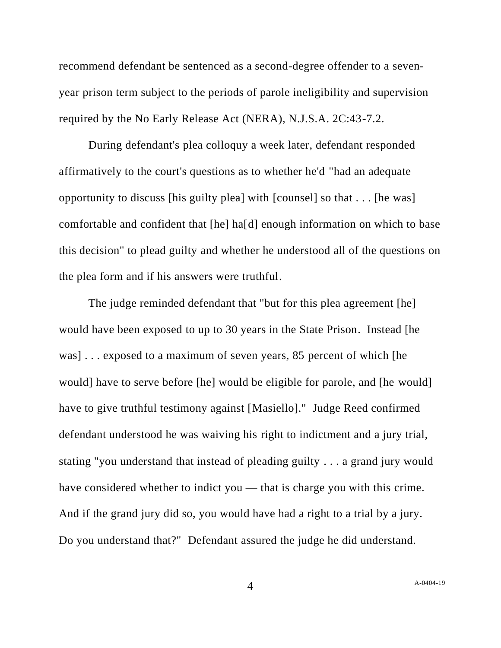recommend defendant be sentenced as a second-degree offender to a sevenyear prison term subject to the periods of parole ineligibility and supervision required by the No Early Release Act (NERA), N.J.S.A. 2C:43-7.2.

During defendant's plea colloquy a week later, defendant responded affirmatively to the court's questions as to whether he'd "had an adequate opportunity to discuss [his guilty plea] with [counsel] so that . . . [he was] comfortable and confident that [he] ha[d] enough information on which to base this decision" to plead guilty and whether he understood all of the questions on the plea form and if his answers were truthful.

The judge reminded defendant that "but for this plea agreement [he] would have been exposed to up to 30 years in the State Prison. Instead [he was] . . . exposed to a maximum of seven years, 85 percent of which [he would] have to serve before [he] would be eligible for parole, and [he would] have to give truthful testimony against [Masiello]." Judge Reed confirmed defendant understood he was waiving his right to indictment and a jury trial, stating "you understand that instead of pleading guilty . . . a grand jury would have considered whether to indict you — that is charge you with this crime. And if the grand jury did so, you would have had a right to a trial by a jury. Do you understand that?" Defendant assured the judge he did understand.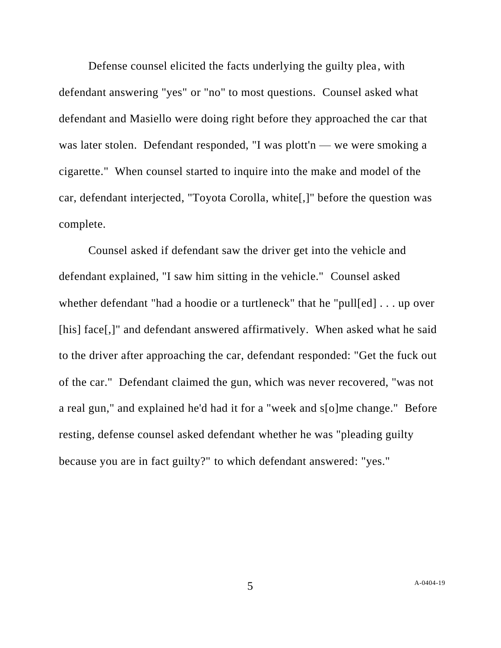Defense counsel elicited the facts underlying the guilty plea, with defendant answering "yes" or "no" to most questions. Counsel asked what defendant and Masiello were doing right before they approached the car that was later stolen. Defendant responded, "I was plott'n — we were smoking a cigarette." When counsel started to inquire into the make and model of the car, defendant interjected, "Toyota Corolla, white[,]" before the question was complete.

Counsel asked if defendant saw the driver get into the vehicle and defendant explained, "I saw him sitting in the vehicle." Counsel asked whether defendant "had a hoodie or a turtleneck" that he "pull[ed] . . . up over [his] face[,]" and defendant answered affirmatively. When asked what he said to the driver after approaching the car, defendant responded: "Get the fuck out of the car." Defendant claimed the gun, which was never recovered, "was not a real gun," and explained he'd had it for a "week and s[o]me change." Before resting, defense counsel asked defendant whether he was "pleading guilty because you are in fact guilty?" to which defendant answered: "yes."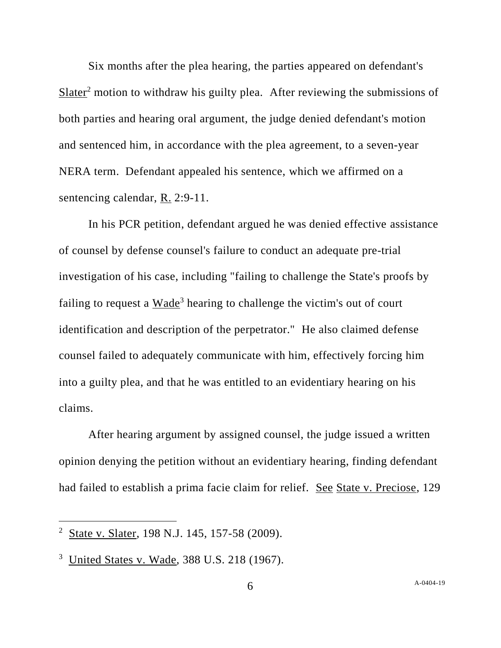Six months after the plea hearing, the parties appeared on defendant's Slater<sup>2</sup> motion to withdraw his guilty plea. After reviewing the submissions of both parties and hearing oral argument, the judge denied defendant's motion and sentenced him, in accordance with the plea agreement, to a seven-year NERA term. Defendant appealed his sentence, which we affirmed on a sentencing calendar, R. 2:9-11.

In his PCR petition, defendant argued he was denied effective assistance of counsel by defense counsel's failure to conduct an adequate pre-trial investigation of his case, including "failing to challenge the State's proofs by failing to request a Wade<sup>3</sup> hearing to challenge the victim's out of court identification and description of the perpetrator." He also claimed defense counsel failed to adequately communicate with him, effectively forcing him into a guilty plea, and that he was entitled to an evidentiary hearing on his claims.

After hearing argument by assigned counsel, the judge issued a written opinion denying the petition without an evidentiary hearing, finding defendant had failed to establish a prima facie claim for relief. See State v. Preciose, 129

<sup>&</sup>lt;sup>2</sup> State v. Slater, 198 N.J. 145, 157-58 (2009).

<sup>3</sup> United States v. Wade, 388 U.S. 218 (1967).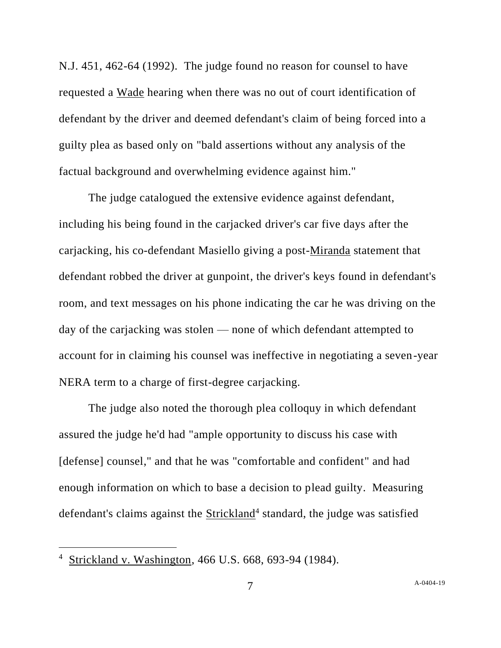N.J. 451, 462-64 (1992). The judge found no reason for counsel to have requested a Wade hearing when there was no out of court identification of defendant by the driver and deemed defendant's claim of being forced into a guilty plea as based only on "bald assertions without any analysis of the factual background and overwhelming evidence against him."

The judge catalogued the extensive evidence against defendant, including his being found in the carjacked driver's car five days after the carjacking, his co-defendant Masiello giving a post-Miranda statement that defendant robbed the driver at gunpoint, the driver's keys found in defendant's room, and text messages on his phone indicating the car he was driving on the day of the carjacking was stolen — none of which defendant attempted to account for in claiming his counsel was ineffective in negotiating a seven-year NERA term to a charge of first-degree carjacking.

The judge also noted the thorough plea colloquy in which defendant assured the judge he'd had "ample opportunity to discuss his case with [defense] counsel," and that he was "comfortable and confident" and had enough information on which to base a decision to plead guilty. Measuring defendant's claims against the **Strickland**<sup>4</sup> standard, the judge was satisfied

<sup>4</sup> Strickland v. Washington, 466 U.S. 668, 693-94 (1984).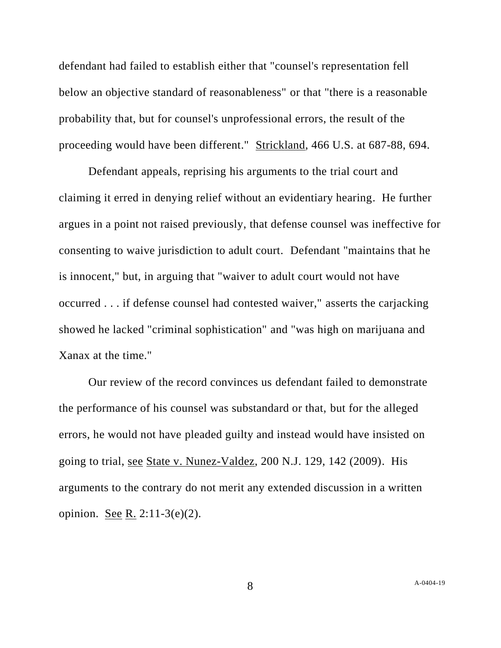defendant had failed to establish either that "counsel's representation fell below an objective standard of reasonableness" or that "there is a reasonable probability that, but for counsel's unprofessional errors, the result of the proceeding would have been different." Strickland, 466 U.S. at 687-88, 694.

Defendant appeals, reprising his arguments to the trial court and claiming it erred in denying relief without an evidentiary hearing. He further argues in a point not raised previously, that defense counsel was ineffective for consenting to waive jurisdiction to adult court. Defendant "maintains that he is innocent," but, in arguing that "waiver to adult court would not have occurred . . . if defense counsel had contested waiver," asserts the carjacking showed he lacked "criminal sophistication" and "was high on marijuana and Xanax at the time."

Our review of the record convinces us defendant failed to demonstrate the performance of his counsel was substandard or that, but for the alleged errors, he would not have pleaded guilty and instead would have insisted on going to trial, see State v. Nunez-Valdez, 200 N.J. 129, 142 (2009). His arguments to the contrary do not merit any extended discussion in a written opinion. See R. 2:11-3(e)(2).

A[-0404-19](#page-0-0)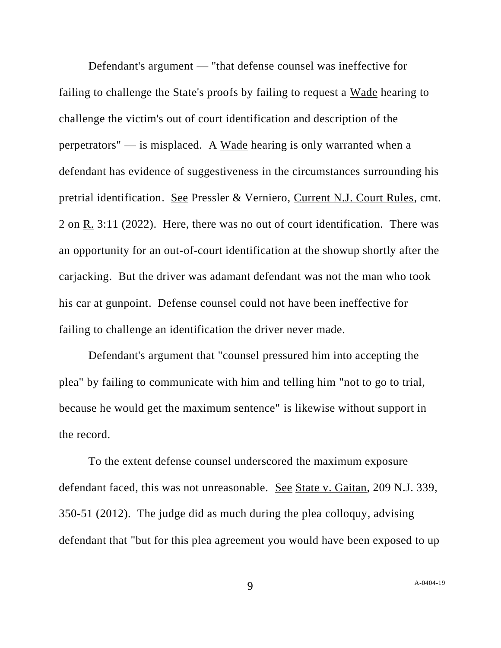Defendant's argument — "that defense counsel was ineffective for failing to challenge the State's proofs by failing to request a Wade hearing to challenge the victim's out of court identification and description of the perpetrators" — is misplaced. A Wade hearing is only warranted when a defendant has evidence of suggestiveness in the circumstances surrounding his pretrial identification. See Pressler & Verniero, Current N.J. Court Rules, cmt. 2 on R. 3:11 (2022). Here, there was no out of court identification. There was an opportunity for an out-of-court identification at the showup shortly after the carjacking. But the driver was adamant defendant was not the man who took his car at gunpoint. Defense counsel could not have been ineffective for failing to challenge an identification the driver never made.

Defendant's argument that "counsel pressured him into accepting the plea" by failing to communicate with him and telling him "not to go to trial, because he would get the maximum sentence" is likewise without support in the record.

To the extent defense counsel underscored the maximum exposure defendant faced, this was not unreasonable. See State v. Gaitan, 209 N.J. 339, 350-51 (2012). The judge did as much during the plea colloquy, advising defendant that "but for this plea agreement you would have been exposed to up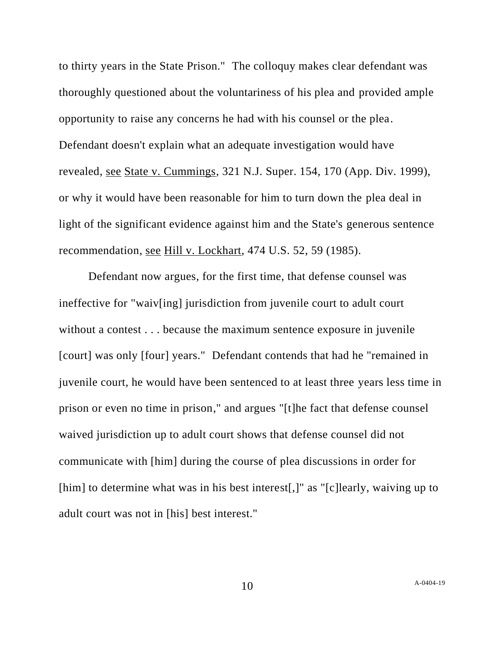to thirty years in the State Prison." The colloquy makes clear defendant was thoroughly questioned about the voluntariness of his plea and provided ample opportunity to raise any concerns he had with his counsel or the plea. Defendant doesn't explain what an adequate investigation would have revealed, see State v. Cummings, 321 N.J. Super. 154, 170 (App. Div. 1999), or why it would have been reasonable for him to turn down the plea deal in light of the significant evidence against him and the State's generous sentence recommendation, see Hill v. Lockhart, 474 U.S. 52, 59 (1985).

Defendant now argues, for the first time, that defense counsel was ineffective for "waiv[ing] jurisdiction from juvenile court to adult court without a contest . . . because the maximum sentence exposure in juvenile [court] was only [four] years." Defendant contends that had he "remained in juvenile court, he would have been sentenced to at least three years less time in prison or even no time in prison," and argues "[t]he fact that defense counsel waived jurisdiction up to adult court shows that defense counsel did not communicate with [him] during the course of plea discussions in order for [him] to determine what was in his best interest[,]" as "[c]learly, waiving up to adult court was not in [his] best interest."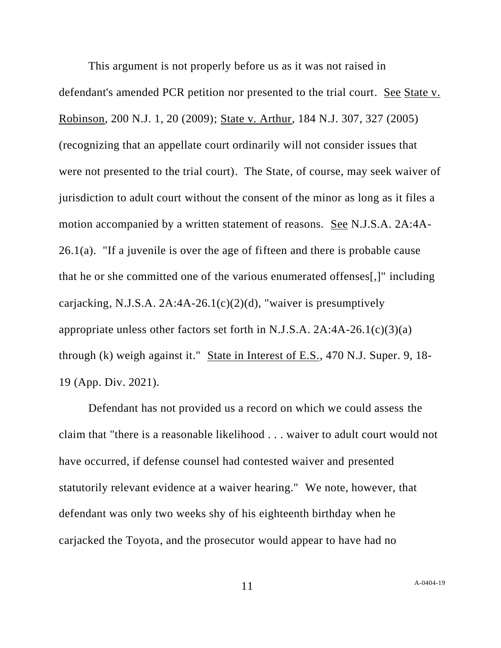This argument is not properly before us as it was not raised in defendant's amended PCR petition nor presented to the trial court. See State v. Robinson, 200 N.J. 1, 20 (2009); State v. Arthur, 184 N.J. 307, 327 (2005) (recognizing that an appellate court ordinarily will not consider issues that were not presented to the trial court). The State, of course, may seek waiver of jurisdiction to adult court without the consent of the minor as long as it files a motion accompanied by a written statement of reasons. See N.J.S.A. 2A:4A-26.1(a). "If a juvenile is over the age of fifteen and there is probable cause that he or she committed one of the various enumerated offenses[,]" including carjacking, N.J.S.A.  $2A:4A-26.1(c)(2)(d)$ , "waiver is presumptively appropriate unless other factors set forth in N.J.S.A.  $2A:4A-26.1(c)(3)(a)$ through (k) weigh against it." State in Interest of E.S., 470 N.J. Super. 9, 18- 19 (App. Div. 2021).

Defendant has not provided us a record on which we could assess the claim that "there is a reasonable likelihood . . . waiver to adult court would not have occurred, if defense counsel had contested waiver and presented statutorily relevant evidence at a waiver hearing." We note, however, that defendant was only two weeks shy of his eighteenth birthday when he carjacked the Toyota, and the prosecutor would appear to have had no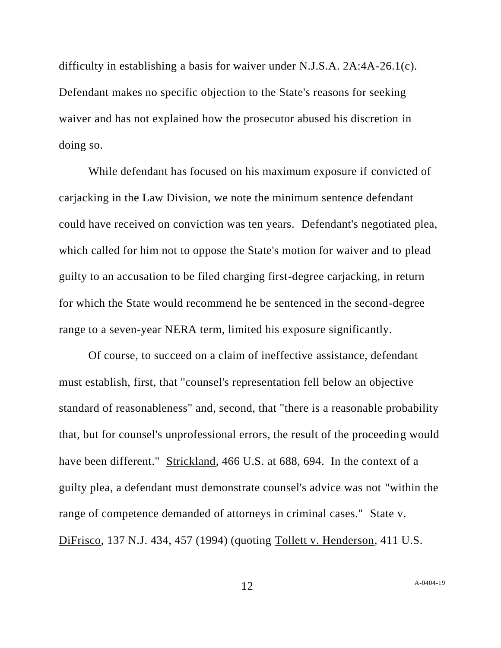difficulty in establishing a basis for waiver under N.J.S.A. 2A:4A-26.1(c). Defendant makes no specific objection to the State's reasons for seeking waiver and has not explained how the prosecutor abused his discretion in doing so.

While defendant has focused on his maximum exposure if convicted of carjacking in the Law Division, we note the minimum sentence defendant could have received on conviction was ten years. Defendant's negotiated plea, which called for him not to oppose the State's motion for waiver and to plead guilty to an accusation to be filed charging first-degree carjacking, in return for which the State would recommend he be sentenced in the second-degree range to a seven-year NERA term, limited his exposure significantly.

Of course, to succeed on a claim of ineffective assistance, defendant must establish, first, that "counsel's representation fell below an objective standard of reasonableness" and, second, that "there is a reasonable probability that, but for counsel's unprofessional errors, the result of the proceeding would have been different." Strickland, 466 U.S. at 688, 694. In the context of a guilty plea, a defendant must demonstrate counsel's advice was not "within the range of competence demanded of attorneys in criminal cases." State v. DiFrisco, 137 N.J. 434, 457 (1994) (quoting Tollett v. Henderson, 411 U.S.